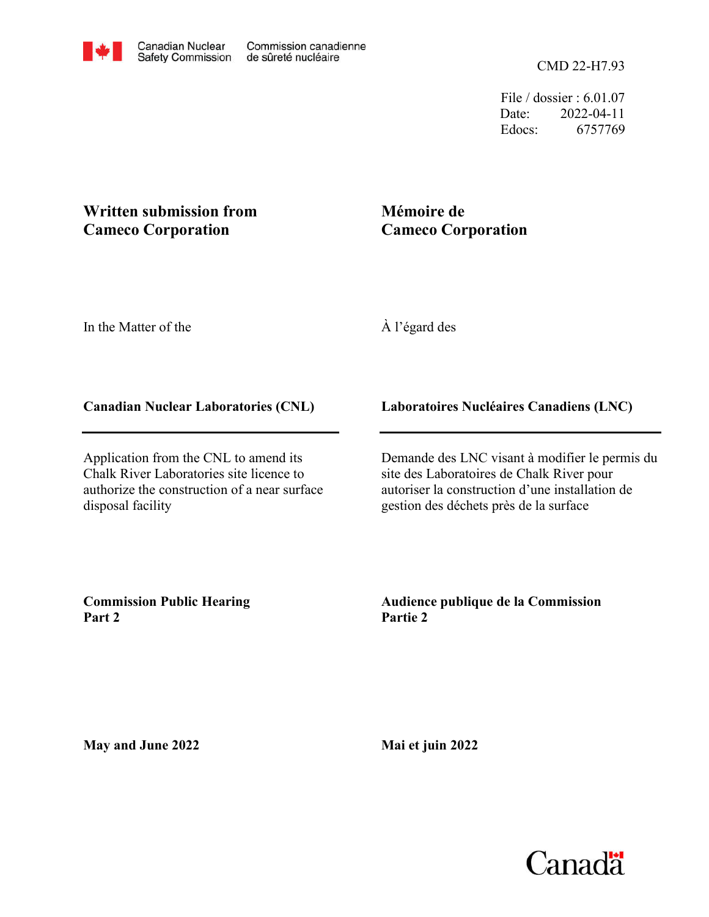File / dossier : 6.01.07 Date: 2022-04-11 Edocs: 6757769

## **Written submission from Cameco Corporation**

## **Mémoire de Cameco Corporation**

In the Matter of the

À l'égard des

## **Canadian Nuclear Laboratories (CNL)**

Application from the CNL to amend its Chalk River Laboratories site licence to authorize the construction of a near surface disposal facility

**Laboratoires Nucléaires Canadiens (LNC)**

Demande des LNC visant à modifier le permis du site des Laboratoires de Chalk River pour autoriser la construction d'une installation de gestion des déchets près de la surface

**Commission Public Hearing Part 2**

**Audience publique de la Commission Partie 2**

**May and June 2022**

**Mai et juin 2022**